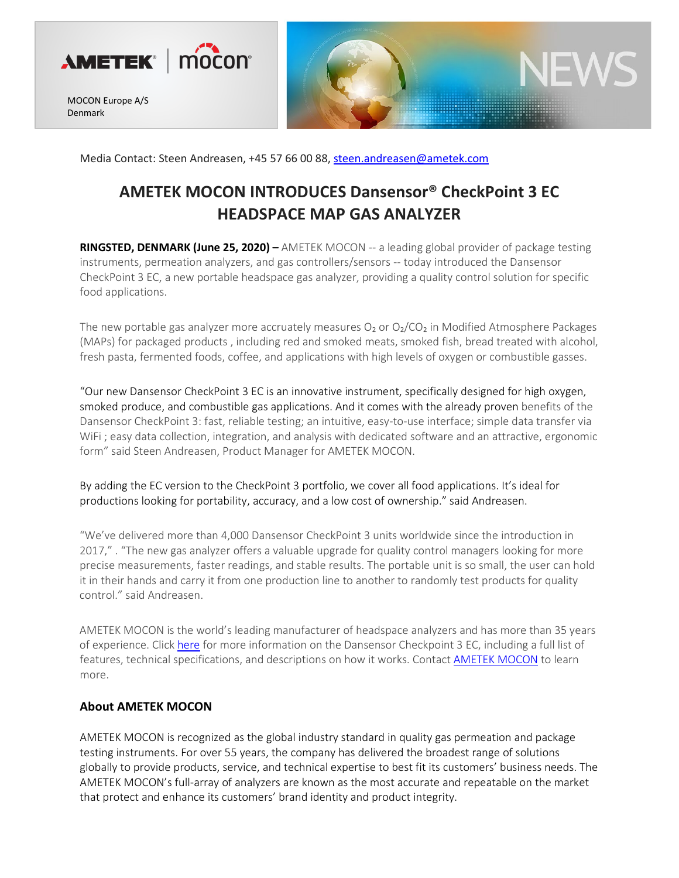

MOCON Europe A/S Denmark



Media Contact: Steen Andreasen, +45 57 66 00 88[, steen.andreasen@ametek.com](mailto:steen.andreasen@ametek.com)

## **AMETEK MOCON INTRODUCES Dansensor® CheckPoint 3 EC HEADSPACE MAP GAS ANALYZER**

**RINGSTED, DENMARK (June 25, 2020)** – AMETEK MOCON -- a leading global provider of package testing instruments, permeation analyzers, and gas controllers/sensors -- today introduced the Dansensor CheckPoint 3 EC, a new portable headspace gas analyzer, providing a quality control solution for specific food applications.

The new portable gas analyzer more accruately measures  $O_2$  or  $O_2/CO_2$  in Modified Atmosphere Packages (MAPs) for packaged products , including red and smoked meats, smoked fish, bread treated with alcohol, fresh pasta, fermented foods, coffee, and applications with high levels of oxygen or combustible gasses.

"Our new Dansensor CheckPoint 3 EC is an innovative instrument, specifically designed for high oxygen, smoked produce, and combustible gas applications. And it comes with the already proven benefits of the Dansensor CheckPoint 3: fast, reliable testing; an intuitive, easy-to-use interface; simple data transfer via WiFi ; easy data collection, integration, and analysis with dedicated software and an attractive, ergonomic form" said Steen Andreasen, Product Manager for AMETEK MOCON.

By adding the EC version to the CheckPoint 3 portfolio, we cover all food applications. It's ideal for productions looking for portability, accuracy, and a low cost of ownership." said Andreasen.

"We've delivered more than 4,000 Dansensor CheckPoint 3 units worldwide since the introduction in 2017," . "The new gas analyzer offers a valuable upgrade for quality control managers looking for more precise measurements, faster readings, and stable results. The portable unit is so small, the user can hold it in their hands and carry it from one production line to another to randomly test products for quality control." said Andreasen.

AMETEK MOCON is the world's leading manufacturer of headspace analyzers and has more than 35 years of experience. Click [here](https://www.ametekmocon.com/products/headspacemapgasanalyzers/checkpoint-3) for more information on the Dansensor Checkpoint 3 EC, including a full list of features, technical specifications, and descriptions on how it works. Contact [AMETEK MOCON](https://www.ametekmocon.com/contactus/contactusform) to learn more.

## **About AMETEK MOCON**

AMETEK MOCON is recognized as the global industry standard in quality gas permeation and package testing instruments. For over 55 years, the company has delivered the broadest range of solutions globally to provide products, service, and technical expertise to best fit its customers' business needs. The AMETEK MOCON's full-array of analyzers are known as the most accurate and repeatable on the market that protect and enhance its customers' brand identity and product integrity.